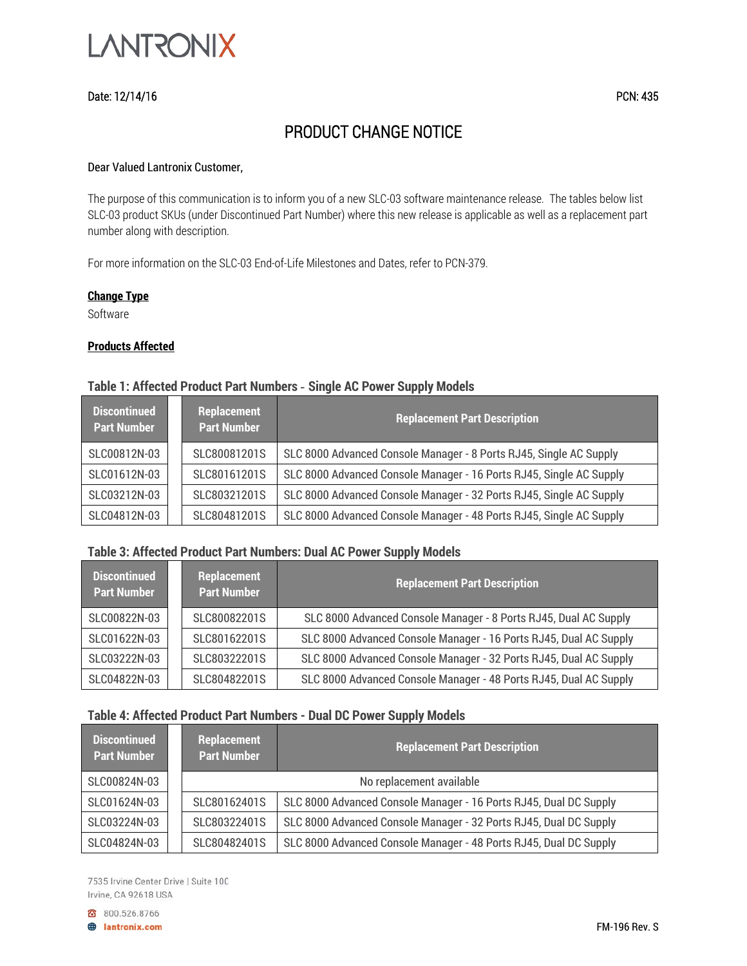

## Date: 12/14/16 PCN: 435

# PRODUCT CHANGE NOTICE

#### Dear Valued Lantronix Customer,

The purpose of this communication is to inform you of a new SLC-03 software maintenance release. The tables below list SLC-03 product SKUs (under Discontinued Part Number) where this new release is applicable as well as a replacement part number along with description.

For more information on the SLC-03 End-of-Life Milestones and Dates, refer to PCN-379.

#### **Change Type**

Software

## **Products Affected**

# **Table 1: Affected Product Part Numbers** *-* **Single AC Power Supply Models**

| <b>Discontinued</b><br><b>Part Number</b> |  | Replacement<br>l Part Number <sup>1</sup> | <b>Replacement Part Description</b>                                 |
|-------------------------------------------|--|-------------------------------------------|---------------------------------------------------------------------|
| SLC00812N-03                              |  | SLC80081201S                              | SLC 8000 Advanced Console Manager - 8 Ports RJ45, Single AC Supply  |
| SLC01612N-03                              |  | SLC80161201S                              | SLC 8000 Advanced Console Manager - 16 Ports RJ45, Single AC Supply |
| SLC03212N-03                              |  | SLC80321201S                              | SLC 8000 Advanced Console Manager - 32 Ports RJ45, Single AC Supply |
| SLC04812N-03                              |  | SLC80481201S                              | SLC 8000 Advanced Console Manager - 48 Ports RJ45, Single AC Supply |

#### **Table 3: Affected Product Part Numbers: Dual AC Power Supply Models**

| <b>Discontinued</b><br><b>Part Number</b> |  | Replacement<br><b>Part Number</b> | <b>Replacement Part Description</b>                               |
|-------------------------------------------|--|-----------------------------------|-------------------------------------------------------------------|
| SLC00822N-03                              |  | SLC80082201S                      | SLC 8000 Advanced Console Manager - 8 Ports RJ45, Dual AC Supply  |
| SLC01622N-03                              |  | SLC80162201S                      | SLC 8000 Advanced Console Manager - 16 Ports RJ45, Dual AC Supply |
| SLC03222N-03                              |  | SLC80322201S                      | SLC 8000 Advanced Console Manager - 32 Ports RJ45, Dual AC Supply |
| SLC04822N-03                              |  | SLC80482201S                      | SLC 8000 Advanced Console Manager - 48 Ports RJ45, Dual AC Supply |

#### **Table 4: Affected Product Part Numbers - Dual DC Power Supply Models**

| <b>Discontinued</b><br><b>Part Number</b> | Replacement<br><b>Part Number</b> | <b>Replacement Part Description</b>                               |
|-------------------------------------------|-----------------------------------|-------------------------------------------------------------------|
| SLC00824N-03                              |                                   | No replacement available                                          |
| SLC01624N-03                              | SLC80162401S                      | SLC 8000 Advanced Console Manager - 16 Ports RJ45, Dual DC Supply |
| SLC03224N-03                              | SLC80322401S                      | SLC 8000 Advanced Console Manager - 32 Ports RJ45, Dual DC Supply |
| SLC04824N-03                              | SLC80482401S                      | SLC 8000 Advanced Console Manager - 48 Ports RJ45, Dual DC Supply |

7535 Irvine Center Drive | Suite 100 Irvine, CA 92618 USA

800.526.8766

**B** lantronix.com